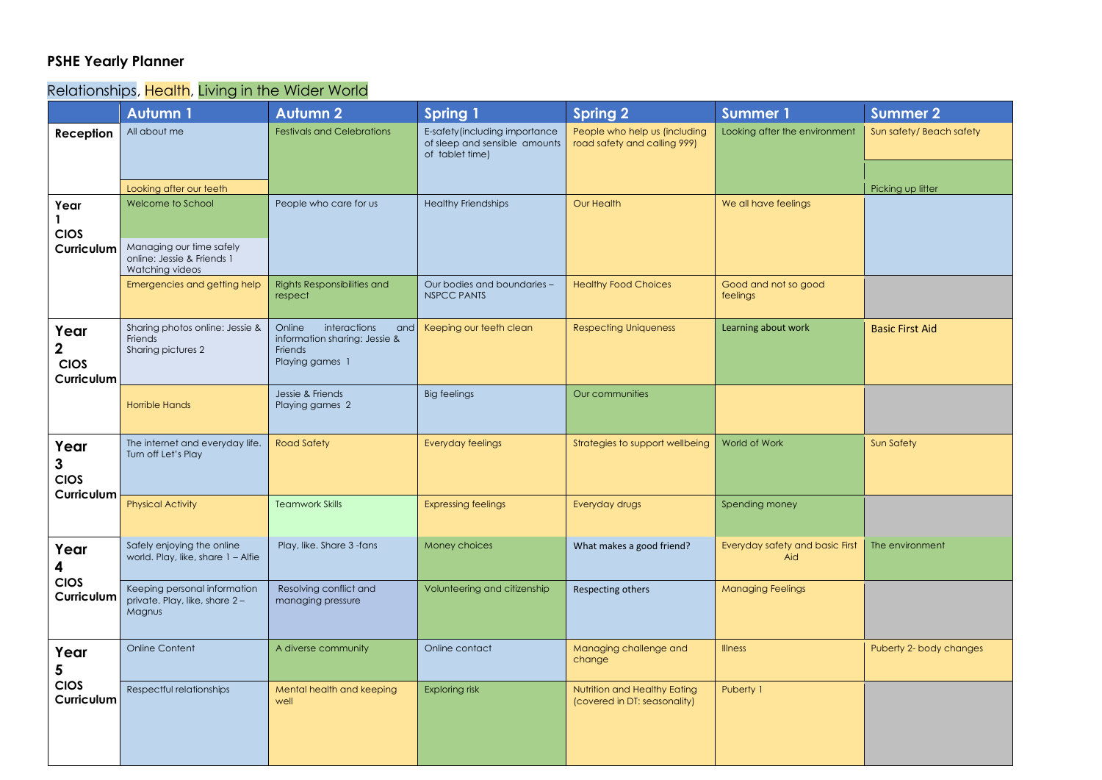## **PSHE Yearly Planner**

## Relationships, Health, Living in the Wider World

|                                                         | <b>Autumn1</b>                                                              | <b>Autumn 2</b>                                                                              | <b>Spring 1</b>                                                                    | <b>Spring 2</b>                                               | <b>Summer 1</b>                        | <b>Summer 2</b>         |
|---------------------------------------------------------|-----------------------------------------------------------------------------|----------------------------------------------------------------------------------------------|------------------------------------------------------------------------------------|---------------------------------------------------------------|----------------------------------------|-------------------------|
| Reception                                               | All about me                                                                | <b>Festivals and Celebrations</b>                                                            | E-safety (including importance<br>of sleep and sensible amounts<br>of tablet time) | People who help us (including<br>road safety and calling 999) | Looking after the environment          | Sun safety/Beach safety |
|                                                         | Looking after our teeth                                                     |                                                                                              |                                                                                    |                                                               |                                        | Picking up litter       |
| Year<br><b>CIOS</b><br>Curriculum                       | Welcome to School<br>Managing our time safely<br>online: Jessie & Friends 1 | People who care for us                                                                       | <b>Healthy Friendships</b>                                                         | Our Health                                                    | We all have feelings                   |                         |
|                                                         | Watching videos                                                             |                                                                                              |                                                                                    |                                                               |                                        |                         |
|                                                         | Emergencies and getting help                                                | Rights Responsibilities and<br>respect                                                       | Our bodies and boundaries -<br><b>NSPCC PANTS</b>                                  | <b>Healthy Food Choices</b>                                   | Good and not so good<br>feelings       |                         |
| Year<br>$\mathbf 2$<br><b>CIOS</b><br><b>Curriculum</b> | Sharing photos online: Jessie &<br>Friends<br>Sharing pictures 2            | interactions<br>Online<br>and<br>information sharing: Jessie &<br>Friends<br>Playing games 1 | Keeping our teeth clean                                                            | <b>Respecting Uniqueness</b>                                  | Learning about work                    | <b>Basic First Aid</b>  |
|                                                         | <b>Horrible Hands</b>                                                       | Jessie & Friends<br>Playing games 2                                                          | <b>Big feelings</b>                                                                | Our communities                                               |                                        |                         |
| Year<br>$\mathbf{3}$<br><b>CIOS</b><br>Curriculum       | The internet and everyday life.<br>Turn off Let's Play                      | <b>Road Safety</b>                                                                           | Everyday feelings                                                                  | Strategies to support wellbeing                               | World of Work                          | <b>Sun Safety</b>       |
|                                                         | <b>Physical Activity</b>                                                    | <b>Teamwork Skills</b>                                                                       | <b>Expressing feelings</b>                                                         | Everyday drugs                                                | Spending money                         |                         |
| Year<br>4                                               | Safely enjoying the online<br>world. Play, like, share 1 - Alfie            | Play, like. Share 3 -fans                                                                    | Money choices                                                                      | What makes a good friend?                                     | Everyday safety and basic First<br>Aid | The environment         |
| <b>CIOS</b><br>Curriculum                               | Keeping personal information<br>private. Play, like, share 2-<br>Magnus     | Resolving conflict and<br>managing pressure                                                  | Volunteering and citizenship                                                       | Respecting others                                             | <b>Managing Feelings</b>               |                         |
| Year<br>5<br><b>CIOS</b><br>Curriculum                  | <b>Online Content</b>                                                       | A diverse community                                                                          | Online contact                                                                     | Managing challenge and<br>change                              | <b>Illness</b>                         | Puberty 2- body changes |
|                                                         | Respectful relationships                                                    | Mental health and keeping<br>well                                                            | <b>Exploring risk</b>                                                              | Nutrition and Healthy Eating<br>(covered in DT: seasonality)  | Puberty 1                              |                         |